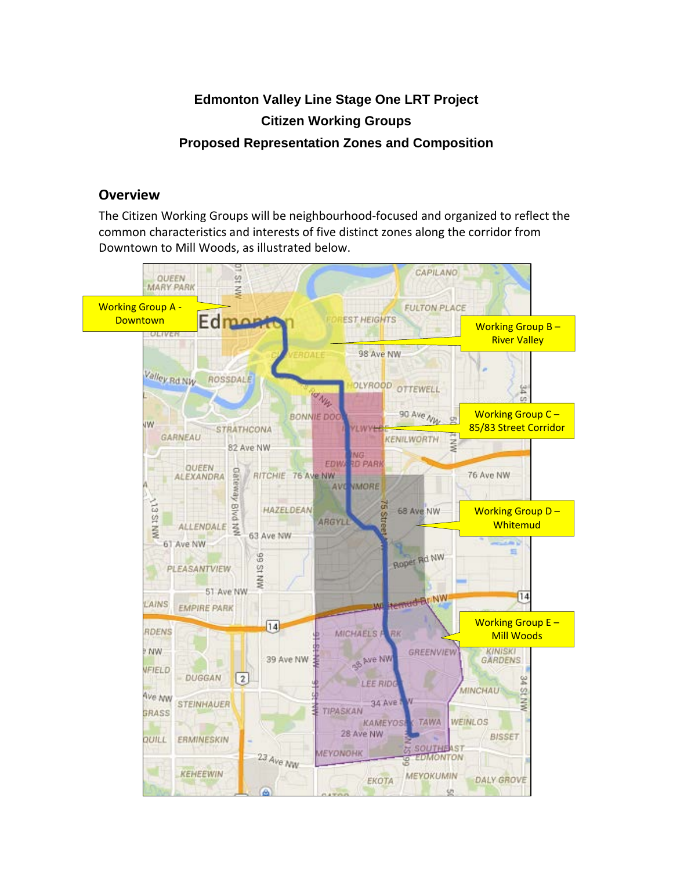## **Edmonton Valley Line Stage One LRT Project Citizen Working Groups Proposed Representation Zones and Composition**

## **Overview**

The Citizen Working Groups will be neighbourhood-focused and organized to reflect the common characteristics and interests of five distinct zones along the corridor from Downtown to Mill Woods, as illustrated below.

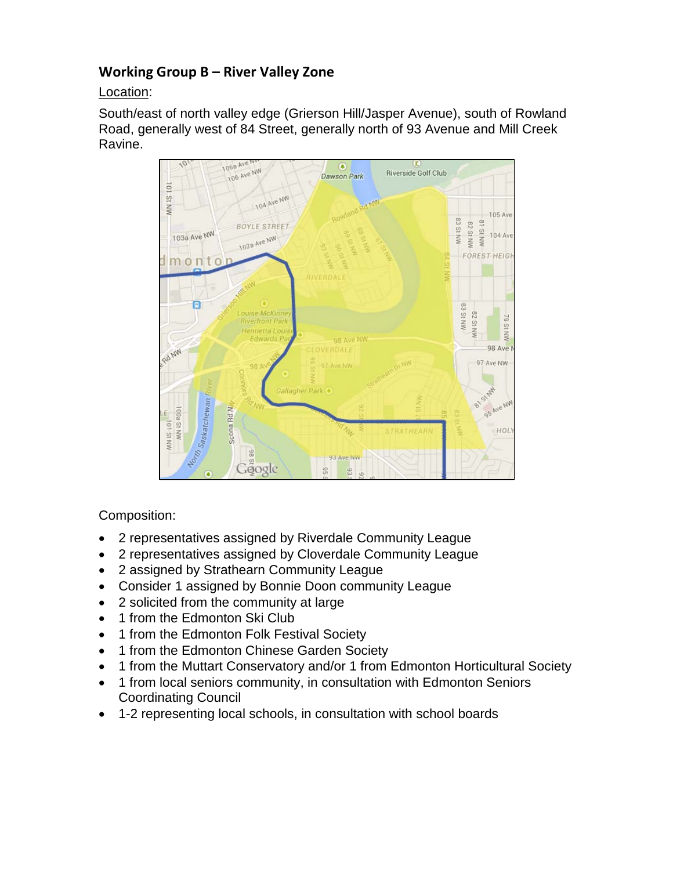## **Working Group B – River Valley Zone**

Location:

South/east of north valley edge (Grierson Hill/Jasper Avenue), south of Rowland Road, generally west of 84 Street, generally north of 93 Avenue and Mill Creek Ravine.



Composition:

- 2 representatives assigned by Riverdale Community League
- 2 representatives assigned by Cloverdale Community League
- 2 assigned by Strathearn Community League
- Consider 1 assigned by Bonnie Doon community League
- 2 solicited from the community at large
- 1 from the Edmonton Ski Club
- 1 from the Edmonton Folk Festival Society
- 1 from the Edmonton Chinese Garden Society
- 1 from the Muttart Conservatory and/or 1 from Edmonton Horticultural Society
- 1 from local seniors community, in consultation with Edmonton Seniors Coordinating Council
- 1-2 representing local schools, in consultation with school boards